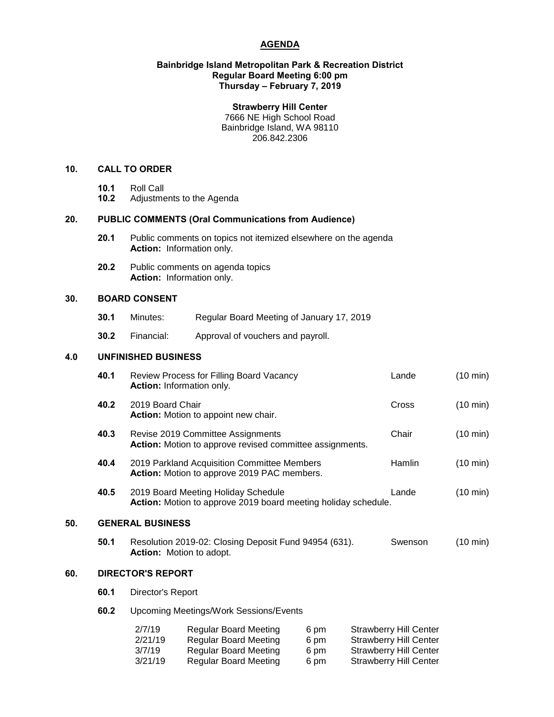## **AGENDA**

#### **Bainbridge Island Metropolitan Park & Recreation District Regular Board Meeting 6:00 pm Thursday – February 7, 2019**

#### **Strawberry Hill Center**

7666 NE High School Road Bainbridge Island, WA 98110 206.842.2306

## **10. CALL TO ORDER**

- 
- **10.1** Roll Call **10.2** Adjustments to the Agenda

# **20. PUBLIC COMMENTS (Oral Communications from Audience)**

- **20.1** Public comments on topics not itemized elsewhere on the agenda **Action:** Information only.
- **20.2** Public comments on agenda topics **Action:** Information only.

#### **30. BOARD CONSENT**

- **30.1** Minutes: Regular Board Meeting of January 17, 2019
- **30.2** Financial: Approval of vouchers and payroll.

#### **4.0 UNFINISHED BUSINESS**

|     | 40.1                     | Review Process for Filling Board Vacancy<br>Action: Information only.                                 |                                                                                              |                      |  | Lande                                                                                           | $(10 \text{ min})$ |  |
|-----|--------------------------|-------------------------------------------------------------------------------------------------------|----------------------------------------------------------------------------------------------|----------------------|--|-------------------------------------------------------------------------------------------------|--------------------|--|
|     | 40.2                     |                                                                                                       | 2019 Board Chair<br><b>Action:</b> Motion to appoint new chair.                              |                      |  | Cross                                                                                           | $(10 \text{ min})$ |  |
|     | 40.3                     | Revise 2019 Committee Assignments<br>Action: Motion to approve revised committee assignments.         |                                                                                              |                      |  | Chair                                                                                           | $(10 \text{ min})$ |  |
|     | 40.4                     | 2019 Parkland Acquisition Committee Members<br>Action: Motion to approve 2019 PAC members.            |                                                                                              |                      |  | Hamlin                                                                                          | $(10 \text{ min})$ |  |
|     | 40.5                     | 2019 Board Meeting Holiday Schedule<br>Action: Motion to approve 2019 board meeting holiday schedule. |                                                                                              |                      |  | Lande                                                                                           | $(10 \text{ min})$ |  |
| 50. |                          | <b>GENERAL BUSINESS</b>                                                                               |                                                                                              |                      |  |                                                                                                 |                    |  |
|     | 50.1                     | Resolution 2019-02: Closing Deposit Fund 94954 (631).<br><b>Action:</b> Motion to adopt.              |                                                                                              |                      |  | Swenson                                                                                         | $(10 \text{ min})$ |  |
| 60. | <b>DIRECTOR'S REPORT</b> |                                                                                                       |                                                                                              |                      |  |                                                                                                 |                    |  |
|     | 60.1                     | Director's Report                                                                                     |                                                                                              |                      |  |                                                                                                 |                    |  |
|     | 60.2                     | Upcoming Meetings/Work Sessions/Events                                                                |                                                                                              |                      |  |                                                                                                 |                    |  |
|     |                          | 2/7/19<br>2/21/19<br>3/7/19                                                                           | <b>Regular Board Meeting</b><br><b>Regular Board Meeting</b><br><b>Regular Board Meeting</b> | 6 pm<br>6 pm<br>6 pm |  | <b>Strawberry Hill Center</b><br><b>Strawberry Hill Center</b><br><b>Strawberry Hill Center</b> |                    |  |

3/21/19 Regular Board Meeting 6 pm Strawberry Hill Center